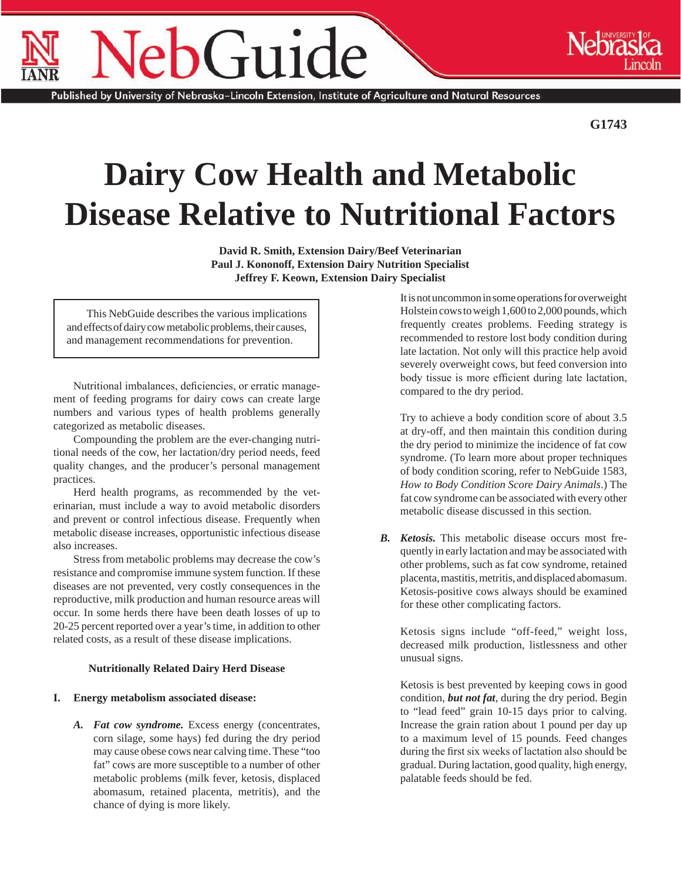# Guide

Published by University of Nebraska–Lincoln Extension, Institute of Agriculture and Natural Resources

**G1743**

# **Dairy Cow Health and Metabolic Disease Relative to Nutritional Factors**

**David R. Smith, Extension Dairy/Beef Veterinarian Paul J. Kononoff, Extension Dairy Nutrition Specialist Jeffrey F. Keown, Extension Dairy Specialist**

This NebGuide describes the various implications and effects of dairy cow metabolic problems, their causes, and management recommendations for prevention.

Nutritional imbalances, deficiencies, or erratic management of feeding programs for dairy cows can create large numbers and various types of health problems generally categorized as metabolic diseases.

Compounding the problem are the ever-changing nutritional needs of the cow, her lactation/dry period needs, feed quality changes, and the producer's personal management practices.

Herd health programs, as recommended by the veterinarian, must include a way to avoid metabolic disorders and prevent or control infectious disease. Frequently when metabolic disease increases, opportunistic infectious disease also increases.

Stress from metabolic problems may decrease the cow's resistance and compromise immune system function. If these diseases are not prevented, very costly consequences in the reproductive, milk production and human resource areas will occur. In some herds there have been death losses of up to 20-25 percent reported over a year's time, in addition to other related costs, as a result of these disease implications.

#### **Nutritionally Related Dairy Herd Disease**

### **I. Energy metabolism associated disease:**

*A. Fat cow syndrome.* Excess energy (concentrates, corn silage, some hays) fed during the dry period may cause obese cows near calving time. These "too fat" cows are more susceptible to a number of other metabolic problems (milk fever, ketosis, displaced abomasum, retained placenta, metritis), and the chance of dying is more likely.

It is not uncommon in some operations for overweight Holstein cows to weigh 1,600 to 2,000 pounds, which frequently creates problems. Feeding strategy is recommended to restore lost body condition during late lactation. Not only will this practice help avoid severely overweight cows, but feed conversion into body tissue is more efficient during late lactation, compared to the dry period.

Try to achieve a body condition score of about 3.5 at dry-off, and then maintain this condition during the dry period to minimize the incidence of fat cow syndrome. (To learn more about proper techniques of body condition scoring, refer to NebGuide 1583, *How to Body Condition Score Dairy Animals*.) The fat cow syndrome can be associated with every other metabolic disease discussed in this section.

*B. Ketosis.* This metabolic disease occurs most frequently in early lactation and may be associated with other problems, such as fat cow syndrome, retained placenta, mastitis, metritis, and displaced abomasum. Ketosis-positive cows always should be examined for these other complicating factors.

Ketosis signs include "off-feed," weight loss, decreased milk production, listlessness and other unusual signs.

Ketosis is best prevented by keeping cows in good condition, *but not fat*, during the dry period. Begin to "lead feed" grain 10-15 days prior to calving. Increase the grain ration about 1 pound per day up to a maximum level of 15 pounds. Feed changes during the first six weeks of lactation also should be gradual. During lactation, good quality, high energy, palatable feeds should be fed.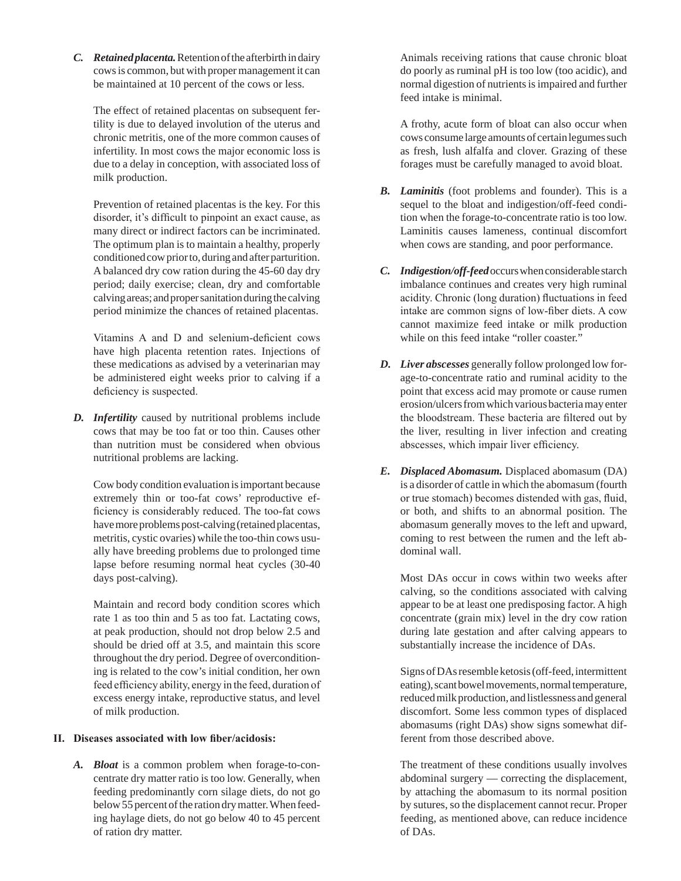*C. Retainedplacenta.* Retention of the afterbirth in dairy cows is common, but with proper management it can be maintained at 10 percent of the cows or less.

The effect of retained placentas on subsequent fertility is due to delayed involution of the uterus and chronic metritis, one of the more common causes of infertility. In most cows the major economic loss is due to a delay in conception, with associated loss of milk production.

Prevention of retained placentas is the key. For this disorder, it's difficult to pinpoint an exact cause, as many direct or indirect factors can be incriminated. The optimum plan is to maintain a healthy, properly conditioned cow prior to, during and after parturition. A balanced dry cow ration during the 45-60 day dry period; daily exercise; clean, dry and comfortable calving areas; and proper sanitation during the calving period minimize the chances of retained placentas.

Vitamins A and D and selenium-deficient cows have high placenta retention rates. Injections of these medications as advised by a veterinarian may be administered eight weeks prior to calving if a deficiency is suspected.

*D. Infertility* caused by nutritional problems include cows that may be too fat or too thin. Causes other than nutrition must be considered when obvious nutritional problems are lacking.

Cow body condition evaluation is important because extremely thin or too-fat cows' reproductive efficiency is considerably reduced. The too-fat cows have more problems post-calving (retained placentas, metritis, cystic ovaries) while the too-thin cows usually have breeding problems due to prolonged time lapse before resuming normal heat cycles (30-40 days post-calving).

Maintain and record body condition scores which rate 1 as too thin and 5 as too fat. Lactating cows, at peak production, should not drop below 2.5 and should be dried off at 3.5, and maintain this score throughout the dry period. Degree of overconditioning is related to the cow's initial condition, her own feed efficiency ability, energy in the feed, duration of excess energy intake, reproductive status, and level of milk production.

#### **II. Diseases associated with low fiber/acidosis:**

*A. Bloat* is a common problem when forage-to-concentrate dry matter ratio is too low. Generally, when feeding predominantly corn silage diets, do not go below 55 percent of the ration dry matter. When feeding haylage diets, do not go below 40 to 45 percent of ration dry matter.

Animals receiving rations that cause chronic bloat do poorly as ruminal pH is too low (too acidic), and normal digestion of nutrients is impaired and further feed intake is minimal.

A frothy, acute form of bloat can also occur when cows consume large amounts of certain legumes such as fresh, lush alfalfa and clover. Grazing of these forages must be carefully managed to avoid bloat.

- *B. Laminitis* (foot problems and founder). This is a sequel to the bloat and indigestion/off-feed condition when the forage-to-concentrate ratio is too low. Laminitis causes lameness, continual discomfort when cows are standing, and poor performance.
- *C. Indigestion/off-feed* occurs when considerable starch imbalance continues and creates very high ruminal acidity. Chronic (long duration) fluctuations in feed intake are common signs of low-fiber diets. A cow cannot maximize feed intake or milk production while on this feed intake "roller coaster."
- *D. Liver abscesses* generally follow prolonged low forage-to-concentrate ratio and ruminal acidity to the point that excess acid may promote or cause rumen erosion/ulcers from which various bacteria may enter the bloodstream. These bacteria are filtered out by the liver, resulting in liver infection and creating abscesses, which impair liver efficiency.
- *E. Displaced Abomasum.* Displaced abomasum (DA) is a disorder of cattle in which the abomasum (fourth or true stomach) becomes distended with gas, fluid, or both, and shifts to an abnormal position. The abomasum generally moves to the left and upward, coming to rest between the rumen and the left abdominal wall.

Most DAs occur in cows within two weeks after calving, so the conditions associated with calving appear to be at least one predisposing factor. A high concentrate (grain mix) level in the dry cow ration during late gestation and after calving appears to substantially increase the incidence of DAs.

Signs of DAs resemble ketosis (off-feed, intermittent eating), scant bowel movements, normal temperature, reduced milk production, and listlessness and general discomfort. Some less common types of displaced abomasums (right DAs) show signs somewhat different from those described above.

The treatment of these conditions usually involves abdominal surgery — correcting the displacement, by attaching the abomasum to its normal position by sutures, so the displacement cannot recur. Proper feeding, as mentioned above, can reduce incidence of DAs.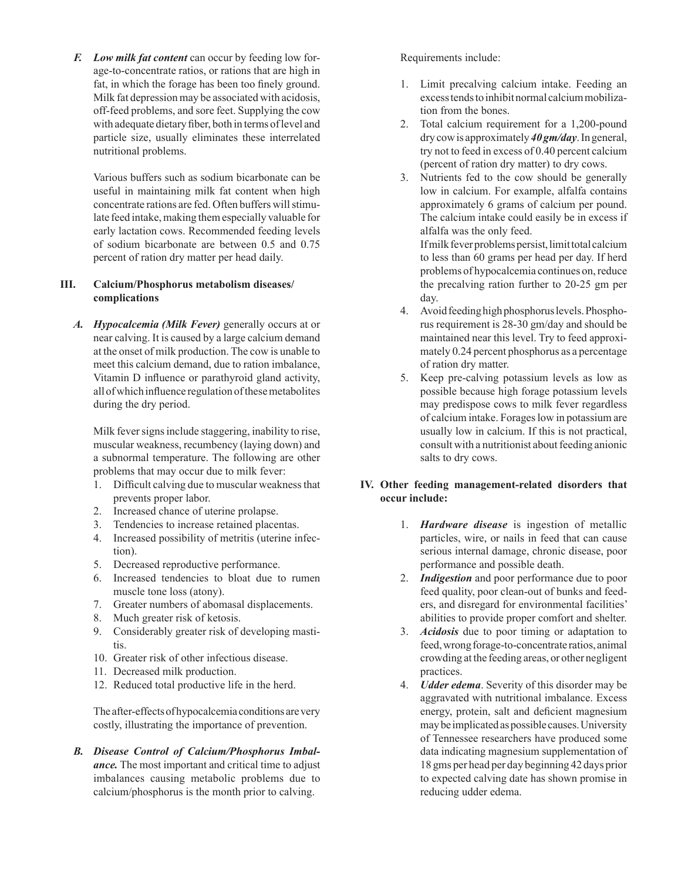*F. Low milk fat content* can occur by feeding low forage-to-concentrate ratios, or rations that are high in fat, in which the forage has been too finely ground. Milk fat depression may be associated with acidosis, off-feed problems, and sore feet. Supplying the cow with adequate dietary fiber, both in terms of level and particle size, usually eliminates these interrelated nutritional problems.

Various buffers such as sodium bicarbonate can be useful in maintaining milk fat content when high concentrate rations are fed. Often buffers will stimulate feed intake, making them especially valuable for early lactation cows. Recommended feeding levels of sodium bicarbonate are between 0.5 and 0.75 percent of ration dry matter per head daily.

# **III. Calcium/Phosphorus metabolism diseases/- complications**

*A. Hypocalcemia (Milk Fever)* generally occurs at or near calving. It is caused by a large calcium demand at the onset of milk production. The cow is unable to meet this calcium demand, due to ration imbalance, Vitamin D influence or parathyroid gland activity, all of which influence regulation of these metabolites during the dry period.

Milk fever signs include staggering, inability to rise, muscular weakness, recumbency (laying down) and a subnormal temperature. The following are other problems that may occur due to milk fever:

- 1. Difficult calving due to muscular weakness that prevents proper labor.
- 2. Increased chance of uterine prolapse.
- 3. Tendencies to increase retained placentas.
- 4. Increased possibility of metritis (uterine infection).
- 5. Decreased reproductive performance.
- 6. Increased tendencies to bloat due to rumen muscle tone loss (atony).
- 7. Greater numbers of abomasal displacements.
- 8. Much greater risk of ketosis.
- 9. Considerably greater risk of developing mastitis.
- 10. Greater risk of other infectious disease.
- 11. Decreased milk production.
- 12. Reduced total productive life in the herd.

The after-effects of hypocalcemia conditions are very costly, illustrating the importance of prevention.

*B. Disease Control of Calcium/Phosphorus Imbalance.* The most important and critical time to adjust imbalances causing metabolic problems due to calcium/phosphorus is the month prior to calving.

## Requirements include:

- 1. Limit precalving calcium intake. Feeding an excess tends to inhibit normal calcium mobilization from the bones.
- 2. Total calcium requirement for a 1,200-pound dry cow is approximately *40 gm/day*. In general, try not to feed in excess of 0.40 percent calcium (percent of ration dry matter) to dry cows.
- 3. Nutrients fed to the cow should be generally low in calcium. For example, alfalfa contains approximately 6 grams of calcium per pound. The calcium intake could easily be in excess if alfalfa was the only feed.

If milk fever problems persist, limit total calcium to less than 60 grams per head per day. If herd problems of hypocalcemia continues on, reduce the precalving ration further to 20-25 gm per day.

- 4. Avoid feeding high phosphorus levels. Phosphorus requirement is 28-30 gm/day and should be maintained near this level. Try to feed approximately 0.24 percent phosphorus as a percentage of ration dry matter.
- 5. Keep pre-calving potassium levels as low as possible because high forage potassium levels may predispose cows to milk fever regardless of calcium intake. Forages low in potassium are usually low in calcium. If this is not practical, consult with a nutritionist about feeding anionic salts to dry cows.

# **IV. Other feeding management-related disorders that occur include:**

- 1. *Hardware disease* is ingestion of metallic particles, wire, or nails in feed that can cause serious internal damage, chronic disease, poor performance and possible death.
- 2. *Indigestion* and poor performance due to poor feed quality, poor clean-out of bunks and feeders, and disregard for environmental facilities' abilities to provide proper comfort and shelter.
- 3. *Acidosis* due to poor timing or adaptation to feed, wrong forage-to-concentrate ratios, animal crowding at the feeding areas, or other negligent practices.
- 4. *Udder edema*. Severity of this disorder may be aggravated with nutritional imbalance. Excess energy, protein, salt and deficient magnesium may be implicated as possible causes. University of Tennessee researchers have produced some data indicating magnesium supplementation of 18 gms per head per day beginning 42 days prior to expected calving date has shown promise in reducing udder edema.